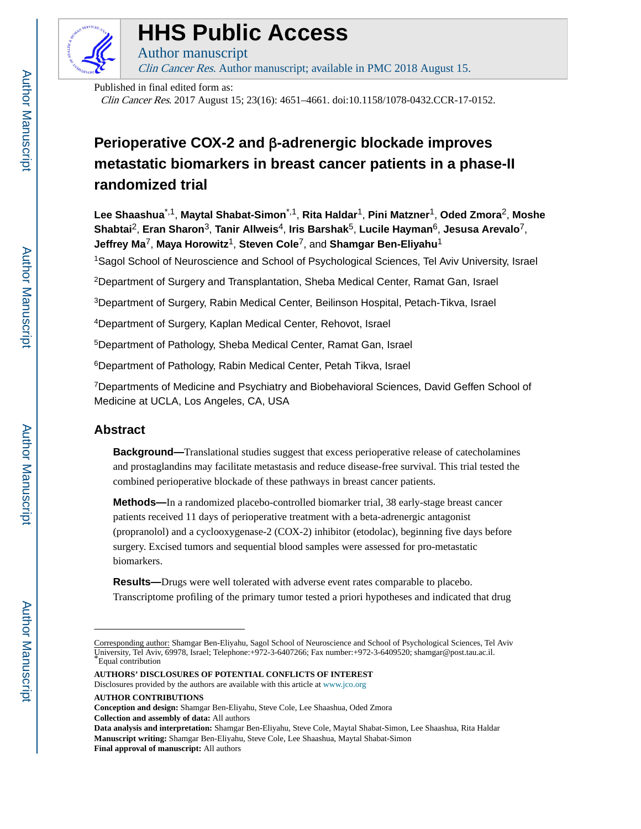

# **HHS Public Access**

Clin Cancer Res. Author manuscript; available in PMC 2018 August 15.

Published in final edited form as:

Author manuscript

Clin Cancer Res. 2017 August 15; 23(16): 4651–4661. doi:10.1158/1078-0432.CCR-17-0152.

## **Perioperative COX-2 and** β**-adrenergic blockade improves metastatic biomarkers in breast cancer patients in a phase-II randomized trial**

**Lee Shaashua**\*,1, **Maytal Shabat-Simon**\*,1, **Rita Haldar**1, **Pini Matzner**1, **Oded Zmora**2, **Moshe Shabtai**2, **Eran Sharon**3, **Tanir Allweis**4, **Iris Barshak**5, **Lucile Hayman**6, **Jesusa Arevalo**7, **Jeffrey Ma**7, **Maya Horowitz**1, **Steven Cole**7, and **Shamgar Ben-Eliyahu**<sup>1</sup>

<sup>1</sup>Sagol School of Neuroscience and School of Psychological Sciences, Tel Aviv University, Israel

<sup>2</sup>Department of Surgery and Transplantation, Sheba Medical Center, Ramat Gan, Israel

<sup>3</sup>Department of Surgery, Rabin Medical Center, Beilinson Hospital, Petach-Tikva, Israel

<sup>4</sup>Department of Surgery, Kaplan Medical Center, Rehovot, Israel

<sup>5</sup>Department of Pathology, Sheba Medical Center, Ramat Gan, Israel

<sup>6</sup>Department of Pathology, Rabin Medical Center, Petah Tikva, Israel

<sup>7</sup>Departments of Medicine and Psychiatry and Biobehavioral Sciences, David Geffen School of Medicine at UCLA, Los Angeles, CA, USA

## **Abstract**

**Background—**Translational studies suggest that excess perioperative release of catecholamines and prostaglandins may facilitate metastasis and reduce disease-free survival. This trial tested the combined perioperative blockade of these pathways in breast cancer patients.

**Methods—**In a randomized placebo-controlled biomarker trial, 38 early-stage breast cancer patients received 11 days of perioperative treatment with a beta-adrenergic antagonist (propranolol) and a cyclooxygenase-2 (COX-2) inhibitor (etodolac), beginning five days before surgery. Excised tumors and sequential blood samples were assessed for pro-metastatic biomarkers.

**Results—**Drugs were well tolerated with adverse event rates comparable to placebo. Transcriptome profiling of the primary tumor tested a priori hypotheses and indicated that drug

Disclosures provided by the authors are available with this article at www.jco.org

**AUTHOR CONTRIBUTIONS**

Corresponding author: Shamgar Ben-Eliyahu, Sagol School of Neuroscience and School of Psychological Sciences, Tel Aviv University, Tel Aviv, 69978, Israel; Telephone:+972-3-6407266; Fax number:+972-3-6409520; shamgar@post.tau.ac.il. \*Equal contribution

**AUTHORS' DISCLOSURES OF POTENTIAL CONFLICTS OF INTEREST**

**Conception and design:** Shamgar Ben-Eliyahu, Steve Cole, Lee Shaashua, Oded Zmora **Collection and assembly of data:** All authors

**Data analysis and interpretation:** Shamgar Ben-Eliyahu, Steve Cole, Maytal Shabat-Simon, Lee Shaashua, Rita Haldar **Manuscript writing:** Shamgar Ben-Eliyahu, Steve Cole, Lee Shaashua, Maytal Shabat-Simon **Final approval of manuscript:** All authors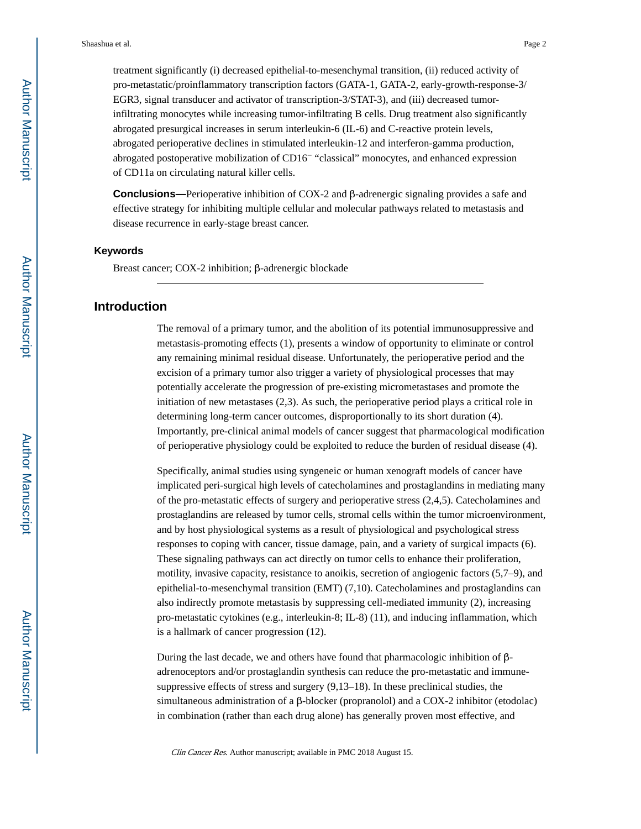treatment significantly (i) decreased epithelial-to-mesenchymal transition, (ii) reduced activity of pro-metastatic/proinflammatory transcription factors (GATA-1, GATA-2, early-growth-response-3/ EGR3, signal transducer and activator of transcription-3/STAT-3), and (iii) decreased tumorinfiltrating monocytes while increasing tumor-infiltrating B cells. Drug treatment also significantly abrogated presurgical increases in serum interleukin-6 (IL-6) and C-reactive protein levels, abrogated perioperative declines in stimulated interleukin-12 and interferon-gamma production, abrogated postoperative mobilization of CD16− "classical" monocytes, and enhanced expression of CD11a on circulating natural killer cells.

**Conclusions—**Perioperative inhibition of COX-2 and β-adrenergic signaling provides a safe and effective strategy for inhibiting multiple cellular and molecular pathways related to metastasis and disease recurrence in early-stage breast cancer.

#### **Keywords**

Breast cancer; COX-2 inhibition; β-adrenergic blockade

## **Introduction**

The removal of a primary tumor, and the abolition of its potential immunosuppressive and metastasis-promoting effects (1), presents a window of opportunity to eliminate or control any remaining minimal residual disease. Unfortunately, the perioperative period and the excision of a primary tumor also trigger a variety of physiological processes that may potentially accelerate the progression of pre-existing micrometastases and promote the initiation of new metastases (2,3). As such, the perioperative period plays a critical role in determining long-term cancer outcomes, disproportionally to its short duration (4). Importantly, pre-clinical animal models of cancer suggest that pharmacological modification of perioperative physiology could be exploited to reduce the burden of residual disease (4).

Specifically, animal studies using syngeneic or human xenograft models of cancer have implicated peri-surgical high levels of catecholamines and prostaglandins in mediating many of the pro-metastatic effects of surgery and perioperative stress (2,4,5). Catecholamines and prostaglandins are released by tumor cells, stromal cells within the tumor microenvironment, and by host physiological systems as a result of physiological and psychological stress responses to coping with cancer, tissue damage, pain, and a variety of surgical impacts (6). These signaling pathways can act directly on tumor cells to enhance their proliferation, motility, invasive capacity, resistance to anoikis, secretion of angiogenic factors (5,7–9), and epithelial-to-mesenchymal transition (EMT) (7,10). Catecholamines and prostaglandins can also indirectly promote metastasis by suppressing cell-mediated immunity (2), increasing pro-metastatic cytokines (e.g., interleukin-8; IL-8) (11), and inducing inflammation, which is a hallmark of cancer progression (12).

During the last decade, we and others have found that pharmacologic inhibition of βadrenoceptors and/or prostaglandin synthesis can reduce the pro-metastatic and immunesuppressive effects of stress and surgery (9,13–18). In these preclinical studies, the simultaneous administration of a β-blocker (propranolol) and a COX-2 inhibitor (etodolac) in combination (rather than each drug alone) has generally proven most effective, and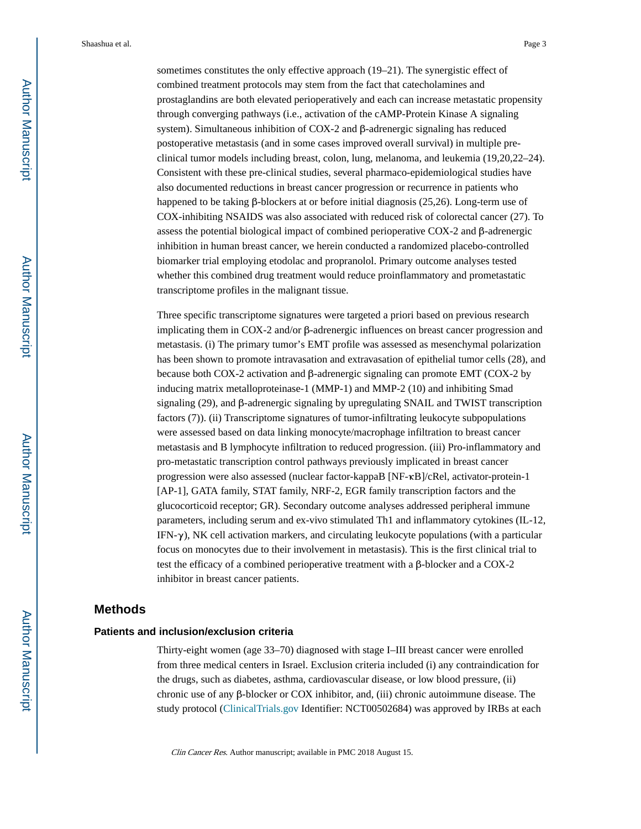sometimes constitutes the only effective approach (19–21). The synergistic effect of combined treatment protocols may stem from the fact that catecholamines and prostaglandins are both elevated perioperatively and each can increase metastatic propensity through converging pathways (i.e., activation of the cAMP-Protein Kinase A signaling system). Simultaneous inhibition of COX-2 and β-adrenergic signaling has reduced postoperative metastasis (and in some cases improved overall survival) in multiple preclinical tumor models including breast, colon, lung, melanoma, and leukemia (19,20,22–24). Consistent with these pre-clinical studies, several pharmaco-epidemiological studies have also documented reductions in breast cancer progression or recurrence in patients who happened to be taking β-blockers at or before initial diagnosis (25,26). Long-term use of COX-inhibiting NSAIDS was also associated with reduced risk of colorectal cancer (27). To assess the potential biological impact of combined perioperative COX-2 and β-adrenergic inhibition in human breast cancer, we herein conducted a randomized placebo-controlled biomarker trial employing etodolac and propranolol. Primary outcome analyses tested whether this combined drug treatment would reduce proinflammatory and prometastatic transcriptome profiles in the malignant tissue.

Three specific transcriptome signatures were targeted a priori based on previous research implicating them in COX-2 and/or  $\beta$ -adrenergic influences on breast cancer progression and metastasis. (i) The primary tumor's EMT profile was assessed as mesenchymal polarization has been shown to promote intravasation and extravasation of epithelial tumor cells (28), and because both COX-2 activation and β-adrenergic signaling can promote EMT (COX-2 by inducing matrix metalloproteinase-1 (MMP-1) and MMP-2 (10) and inhibiting Smad signaling (29), and β-adrenergic signaling by upregulating SNAIL and TWIST transcription factors (7)). (ii) Transcriptome signatures of tumor-infiltrating leukocyte subpopulations were assessed based on data linking monocyte/macrophage infiltration to breast cancer metastasis and B lymphocyte infiltration to reduced progression. (iii) Pro-inflammatory and pro-metastatic transcription control pathways previously implicated in breast cancer progression were also assessed (nuclear factor-kappaB [NF-κB]/cRel, activator-protein-1 [AP-1], GATA family, STAT family, NRF-2, EGR family transcription factors and the glucocorticoid receptor; GR). Secondary outcome analyses addressed peripheral immune parameters, including serum and ex-vivo stimulated Th1 and inflammatory cytokines (IL-12, IFN-γ), NK cell activation markers, and circulating leukocyte populations (with a particular focus on monocytes due to their involvement in metastasis). This is the first clinical trial to test the efficacy of a combined perioperative treatment with a β-blocker and a COX-2 inhibitor in breast cancer patients.

### **Methods**

## **Patients and inclusion/exclusion criteria**

Thirty-eight women (age 33–70) diagnosed with stage I–III breast cancer were enrolled from three medical centers in Israel. Exclusion criteria included (i) any contraindication for the drugs, such as diabetes, asthma, cardiovascular disease, or low blood pressure, (ii) chronic use of any β-blocker or COX inhibitor, and, (iii) chronic autoimmune disease. The study protocol [\(ClinicalTrials.gov](http://ClinicalTrials.gov) Identifier: NCT00502684) was approved by IRBs at each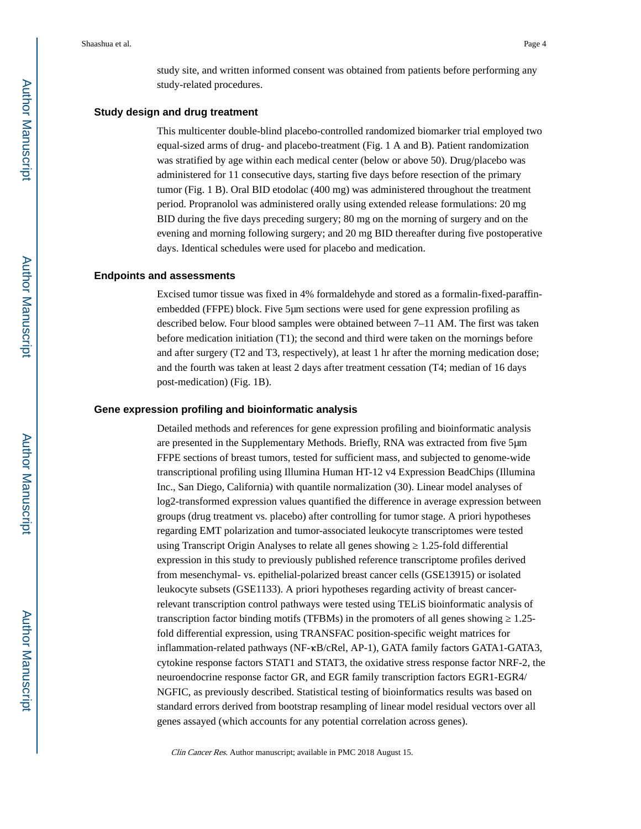study site, and written informed consent was obtained from patients before performing any study-related procedures.

#### **Study design and drug treatment**

This multicenter double-blind placebo-controlled randomized biomarker trial employed two equal-sized arms of drug- and placebo-treatment (Fig. 1 A and B). Patient randomization was stratified by age within each medical center (below or above 50). Drug/placebo was administered for 11 consecutive days, starting five days before resection of the primary tumor (Fig. 1 B). Oral BID etodolac (400 mg) was administered throughout the treatment period. Propranolol was administered orally using extended release formulations: 20 mg BID during the five days preceding surgery; 80 mg on the morning of surgery and on the evening and morning following surgery; and 20 mg BID thereafter during five postoperative days. Identical schedules were used for placebo and medication.

#### **Endpoints and assessments**

Excised tumor tissue was fixed in 4% formaldehyde and stored as a formalin-fixed-paraffinembedded (FFPE) block. Five 5μm sections were used for gene expression profiling as described below. Four blood samples were obtained between 7–11 AM. The first was taken before medication initiation (T1); the second and third were taken on the mornings before and after surgery (T2 and T3, respectively), at least 1 hr after the morning medication dose; and the fourth was taken at least 2 days after treatment cessation (T4; median of 16 days post-medication) (Fig. 1B).

#### **Gene expression profiling and bioinformatic analysis**

Detailed methods and references for gene expression profiling and bioinformatic analysis are presented in the Supplementary Methods. Briefly, RNA was extracted from five 5μm FFPE sections of breast tumors, tested for sufficient mass, and subjected to genome-wide transcriptional profiling using Illumina Human HT-12 v4 Expression BeadChips (Illumina Inc., San Diego, California) with quantile normalization (30). Linear model analyses of log2-transformed expression values quantified the difference in average expression between groups (drug treatment vs. placebo) after controlling for tumor stage. A priori hypotheses regarding EMT polarization and tumor-associated leukocyte transcriptomes were tested using Transcript Origin Analyses to relate all genes showing 1.25-fold differential expression in this study to previously published reference transcriptome profiles derived from mesenchymal- vs. epithelial-polarized breast cancer cells (GSE13915) or isolated leukocyte subsets (GSE1133). A priori hypotheses regarding activity of breast cancerrelevant transcription control pathways were tested using TELiS bioinformatic analysis of transcription factor binding motifs (TFBMs) in the promoters of all genes showing  $1.25$ fold differential expression, using TRANSFAC position-specific weight matrices for inflammation-related pathways (NF-κB/cRel, AP-1), GATA family factors GATA1-GATA3, cytokine response factors STAT1 and STAT3, the oxidative stress response factor NRF-2, the neuroendocrine response factor GR, and EGR family transcription factors EGR1-EGR4/ NGFIC, as previously described. Statistical testing of bioinformatics results was based on standard errors derived from bootstrap resampling of linear model residual vectors over all genes assayed (which accounts for any potential correlation across genes).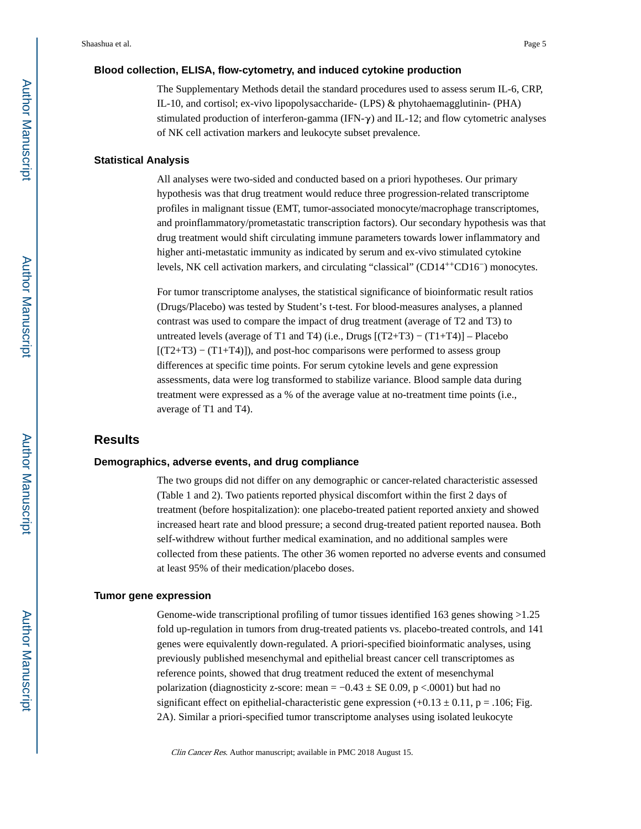#### **Blood collection, ELISA, flow-cytometry, and induced cytokine production**

The Supplementary Methods detail the standard procedures used to assess serum IL-6, CRP, IL-10, and cortisol; ex-vivo lipopolysaccharide- (LPS) & phytohaemagglutinin- (PHA) stimulated production of interferon-gamma (IFN- $\gamma$ ) and IL-12; and flow cytometric analyses of NK cell activation markers and leukocyte subset prevalence.

#### **Statistical Analysis**

All analyses were two-sided and conducted based on a priori hypotheses. Our primary hypothesis was that drug treatment would reduce three progression-related transcriptome profiles in malignant tissue (EMT, tumor-associated monocyte/macrophage transcriptomes, and proinflammatory/prometastatic transcription factors). Our secondary hypothesis was that drug treatment would shift circulating immune parameters towards lower inflammatory and higher anti-metastatic immunity as indicated by serum and ex-vivo stimulated cytokine levels, NK cell activation markers, and circulating "classical" (CD14++CD16−) monocytes.

For tumor transcriptome analyses, the statistical significance of bioinformatic result ratios (Drugs/Placebo) was tested by Student's t-test. For blood-measures analyses, a planned contrast was used to compare the impact of drug treatment (average of T2 and T3) to untreated levels (average of T1 and T4) (i.e., Drugs  $[(T2+T3) - (T1+T4)]$  – Placebo  $[(T2+T3) - (T1+T4)]$ , and post-hoc comparisons were performed to assess group differences at specific time points. For serum cytokine levels and gene expression assessments, data were log transformed to stabilize variance. Blood sample data during treatment were expressed as a % of the average value at no-treatment time points (i.e., average of T1 and T4).

## **Results**

#### **Demographics, adverse events, and drug compliance**

The two groups did not differ on any demographic or cancer-related characteristic assessed (Table 1 and 2). Two patients reported physical discomfort within the first 2 days of treatment (before hospitalization): one placebo-treated patient reported anxiety and showed increased heart rate and blood pressure; a second drug-treated patient reported nausea. Both self-withdrew without further medical examination, and no additional samples were collected from these patients. The other 36 women reported no adverse events and consumed at least 95% of their medication/placebo doses.

#### **Tumor gene expression**

Genome-wide transcriptional profiling of tumor tissues identified 163 genes showing  $>1.25$ fold up-regulation in tumors from drug-treated patients vs. placebo-treated controls, and 141 genes were equivalently down-regulated. A priori-specified bioinformatic analyses, using previously published mesenchymal and epithelial breast cancer cell transcriptomes as reference points, showed that drug treatment reduced the extent of mesenchymal polarization (diagnosticity z-score: mean =  $-0.43 \pm$  SE 0.09, p <.0001) but had no significant effect on epithelial-characteristic gene expression  $(+0.13 \pm 0.11, p = .106; Fig.$ 2A). Similar a priori-specified tumor transcriptome analyses using isolated leukocyte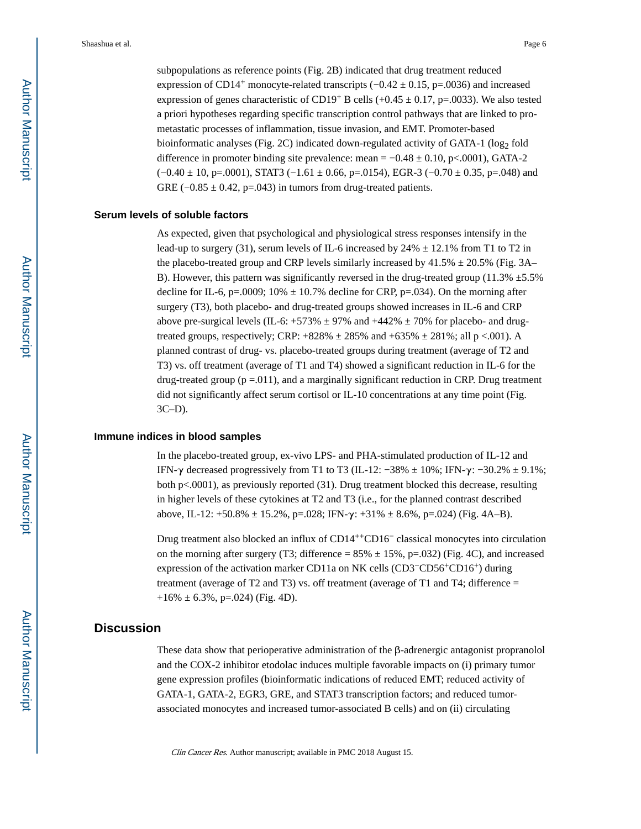subpopulations as reference points (Fig. 2B) indicated that drug treatment reduced expression of CD14<sup>+</sup> monocyte-related transcripts  $(-0.42 \pm 0.15, p=0.036)$  and increased expression of genes characteristic of CD19<sup>+</sup> B cells (+0.45  $\pm$  0.17, p=.0033). We also tested a priori hypotheses regarding specific transcription control pathways that are linked to prometastatic processes of inflammation, tissue invasion, and EMT. Promoter-based bioinformatic analyses (Fig. 2C) indicated down-regulated activity of GATA-1 ( $log<sub>2</sub>$  fold difference in promoter binding site prevalence: mean =  $-0.48 \pm 0.10$ , p<.0001), GATA-2  $(-0.40 \pm 10, p=.0001)$ , STAT3  $(-1.61 \pm 0.66, p=.0154)$ , EGR-3  $(-0.70 \pm 0.35, p=.048)$  and GRE ( $-0.85 \pm 0.42$ , p=.043) in tumors from drug-treated patients.

#### **Serum levels of soluble factors**

As expected, given that psychological and physiological stress responses intensify in the lead-up to surgery (31), serum levels of IL-6 increased by  $24\% \pm 12.1\%$  from T1 to T2 in the placebo-treated group and CRP levels similarly increased by  $41.5\% \pm 20.5\%$  (Fig. 3A– B). However, this pattern was significantly reversed in the drug-treated group (11.3%  $\pm$ 5.5%) decline for IL-6, p=.0009; 10%  $\pm$  10.7% decline for CRP, p=.034). On the morning after surgery (T3), both placebo- and drug-treated groups showed increases in IL-6 and CRP above pre-surgical levels (IL-6:  $+573\% \pm 97\%$  and  $+442\% \pm 70\%$  for placebo- and drugtreated groups, respectively; CRP:  $+828\% \pm 285\%$  and  $+635\% \pm 281\%$ ; all p <.001). A planned contrast of drug- vs. placebo-treated groups during treatment (average of T2 and T3) vs. off treatment (average of T1 and T4) showed a significant reduction in IL-6 for the drug-treated group ( $p = .011$ ), and a marginally significant reduction in CRP. Drug treatment did not significantly affect serum cortisol or IL-10 concentrations at any time point (Fig. 3C–D).

#### **Immune indices in blood samples**

In the placebo-treated group, ex-vivo LPS- and PHA-stimulated production of IL-12 and IFN-γ decreased progressively from T1 to T3 (IL-12:  $-38\% \pm 10\%$ ; IFN-γ:  $-30.2\% \pm 9.1\%$ ; both p<.0001), as previously reported (31). Drug treatment blocked this decrease, resulting in higher levels of these cytokines at T2 and T3 (i.e., for the planned contrast described above, IL-12: +50.8%  $\pm$  15.2%, p=.028; IFN- $\gamma$ : +31%  $\pm$  8.6%, p=.024) (Fig. 4A–B).

Drug treatment also blocked an influx of CD14++CD16− classical monocytes into circulation on the morning after surgery (T3; difference =  $85\% \pm 15\%$ , p=.032) (Fig. 4C), and increased expression of the activation marker CD11a on NK cells (CD3−CD56+CD16+) during treatment (average of T2 and T3) vs. off treatment (average of T1 and T4; difference  $=$  $+16\% \pm 6.3\%, p=.024$ ) (Fig. 4D).

## **Discussion**

These data show that perioperative administration of the β-adrenergic antagonist propranolol and the COX-2 inhibitor etodolac induces multiple favorable impacts on (i) primary tumor gene expression profiles (bioinformatic indications of reduced EMT; reduced activity of GATA-1, GATA-2, EGR3, GRE, and STAT3 transcription factors; and reduced tumorassociated monocytes and increased tumor-associated B cells) and on (ii) circulating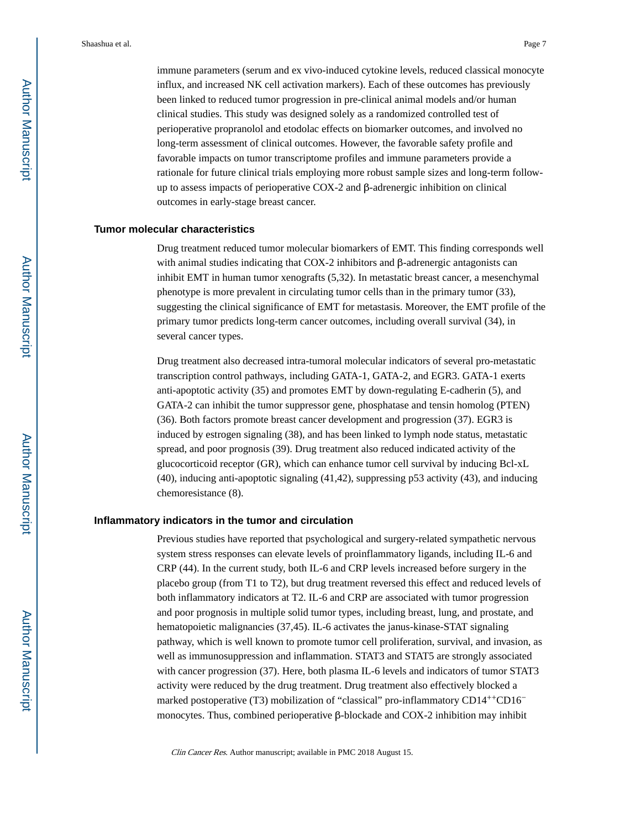immune parameters (serum and ex vivo-induced cytokine levels, reduced classical monocyte influx, and increased NK cell activation markers). Each of these outcomes has previously been linked to reduced tumor progression in pre-clinical animal models and/or human clinical studies. This study was designed solely as a randomized controlled test of perioperative propranolol and etodolac effects on biomarker outcomes, and involved no long-term assessment of clinical outcomes. However, the favorable safety profile and favorable impacts on tumor transcriptome profiles and immune parameters provide a rationale for future clinical trials employing more robust sample sizes and long-term followup to assess impacts of perioperative COX-2 and β-adrenergic inhibition on clinical outcomes in early-stage breast cancer.

#### **Tumor molecular characteristics**

Drug treatment reduced tumor molecular biomarkers of EMT. This finding corresponds well with animal studies indicating that COX-2 inhibitors and β-adrenergic antagonists can inhibit EMT in human tumor xenografts (5,32). In metastatic breast cancer, a mesenchymal phenotype is more prevalent in circulating tumor cells than in the primary tumor (33), suggesting the clinical significance of EMT for metastasis. Moreover, the EMT profile of the primary tumor predicts long-term cancer outcomes, including overall survival (34), in several cancer types.

Drug treatment also decreased intra-tumoral molecular indicators of several pro-metastatic transcription control pathways, including GATA-1, GATA-2, and EGR3. GATA-1 exerts anti-apoptotic activity (35) and promotes EMT by down-regulating E-cadherin (5), and GATA-2 can inhibit the tumor suppressor gene, phosphatase and tensin homolog (PTEN) (36). Both factors promote breast cancer development and progression (37). EGR3 is induced by estrogen signaling (38), and has been linked to lymph node status, metastatic spread, and poor prognosis (39). Drug treatment also reduced indicated activity of the glucocorticoid receptor (GR), which can enhance tumor cell survival by inducing Bcl-xL (40), inducing anti-apoptotic signaling (41,42), suppressing p53 activity (43), and inducing chemoresistance (8).

#### **Inflammatory indicators in the tumor and circulation**

Previous studies have reported that psychological and surgery-related sympathetic nervous system stress responses can elevate levels of proinflammatory ligands, including IL-6 and CRP (44). In the current study, both IL-6 and CRP levels increased before surgery in the placebo group (from T1 to T2), but drug treatment reversed this effect and reduced levels of both inflammatory indicators at T2. IL-6 and CRP are associated with tumor progression and poor prognosis in multiple solid tumor types, including breast, lung, and prostate, and hematopoietic malignancies (37,45). IL-6 activates the janus-kinase-STAT signaling pathway, which is well known to promote tumor cell proliferation, survival, and invasion, as well as immunosuppression and inflammation. STAT3 and STAT5 are strongly associated with cancer progression (37). Here, both plasma IL-6 levels and indicators of tumor STAT3 activity were reduced by the drug treatment. Drug treatment also effectively blocked a marked postoperative (T3) mobilization of "classical" pro-inflammatory CD14<sup>++</sup>CD16<sup>−</sup> monocytes. Thus, combined perioperative β-blockade and COX-2 inhibition may inhibit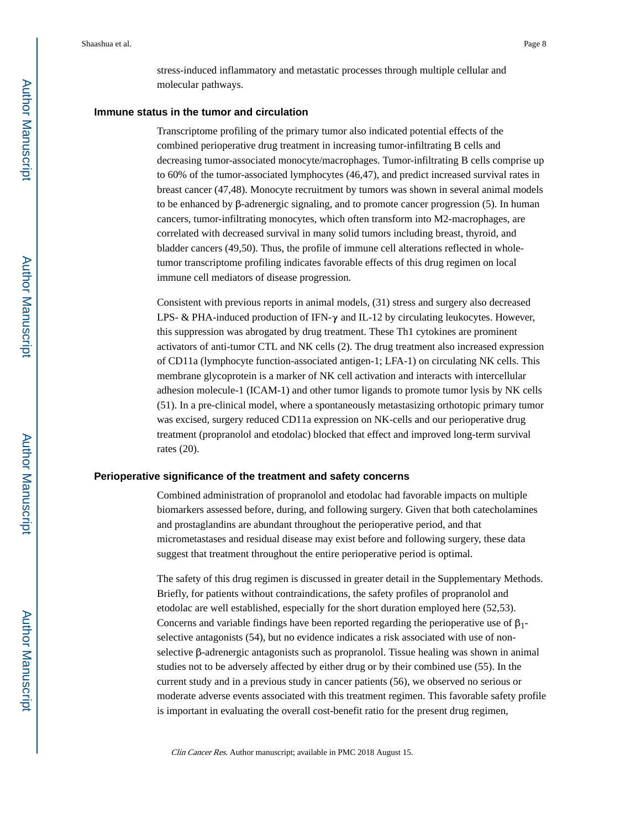stress-induced inflammatory and metastatic processes through multiple cellular and molecular pathways.

#### **Immune status in the tumor and circulation**

Transcriptome profiling of the primary tumor also indicated potential effects of the combined perioperative drug treatment in increasing tumor-infiltrating B cells and decreasing tumor-associated monocyte/macrophages. Tumor-infiltrating B cells comprise up to 60% of the tumor-associated lymphocytes (46,47), and predict increased survival rates in breast cancer (47,48). Monocyte recruitment by tumors was shown in several animal models to be enhanced by β-adrenergic signaling, and to promote cancer progression (5). In human cancers, tumor-infiltrating monocytes, which often transform into M2-macrophages, are correlated with decreased survival in many solid tumors including breast, thyroid, and bladder cancers (49,50). Thus, the profile of immune cell alterations reflected in wholetumor transcriptome profiling indicates favorable effects of this drug regimen on local immune cell mediators of disease progression.

Consistent with previous reports in animal models, (31) stress and surgery also decreased LPS- & PHA-induced production of IFN- $\gamma$  and IL-12 by circulating leukocytes. However, this suppression was abrogated by drug treatment. These Th1 cytokines are prominent activators of anti-tumor CTL and NK cells (2). The drug treatment also increased expression of CD11a (lymphocyte function-associated antigen-1; LFA-1) on circulating NK cells. This membrane glycoprotein is a marker of NK cell activation and interacts with intercellular adhesion molecule-1 (ICAM-1) and other tumor ligands to promote tumor lysis by NK cells (51). In a pre-clinical model, where a spontaneously metastasizing orthotopic primary tumor was excised, surgery reduced CD11a expression on NK-cells and our perioperative drug treatment (propranolol and etodolac) blocked that effect and improved long-term survival rates (20).

#### **Perioperative significance of the treatment and safety concerns**

Combined administration of propranolol and etodolac had favorable impacts on multiple biomarkers assessed before, during, and following surgery. Given that both catecholamines and prostaglandins are abundant throughout the perioperative period, and that micrometastases and residual disease may exist before and following surgery, these data suggest that treatment throughout the entire perioperative period is optimal.

The safety of this drug regimen is discussed in greater detail in the Supplementary Methods. Briefly, for patients without contraindications, the safety profiles of propranolol and etodolac are well established, especially for the short duration employed here (52,53). Concerns and variable findings have been reported regarding the perioperative use of  $\beta_1$ selective antagonists (54), but no evidence indicates a risk associated with use of nonselective β-adrenergic antagonists such as propranolol. Tissue healing was shown in animal studies not to be adversely affected by either drug or by their combined use (55). In the current study and in a previous study in cancer patients (56), we observed no serious or moderate adverse events associated with this treatment regimen. This favorable safety profile is important in evaluating the overall cost-benefit ratio for the present drug regimen,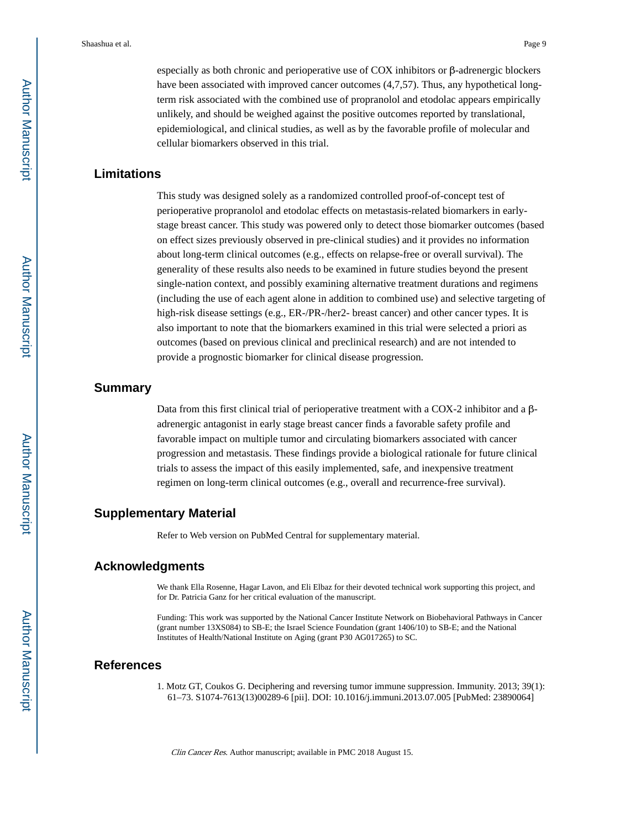especially as both chronic and perioperative use of COX inhibitors or β-adrenergic blockers have been associated with improved cancer outcomes (4,7,57). Thus, any hypothetical longterm risk associated with the combined use of propranolol and etodolac appears empirically unlikely, and should be weighed against the positive outcomes reported by translational, epidemiological, and clinical studies, as well as by the favorable profile of molecular and cellular biomarkers observed in this trial.

## **Limitations**

This study was designed solely as a randomized controlled proof-of-concept test of perioperative propranolol and etodolac effects on metastasis-related biomarkers in earlystage breast cancer. This study was powered only to detect those biomarker outcomes (based on effect sizes previously observed in pre-clinical studies) and it provides no information about long-term clinical outcomes (e.g., effects on relapse-free or overall survival). The generality of these results also needs to be examined in future studies beyond the present single-nation context, and possibly examining alternative treatment durations and regimens (including the use of each agent alone in addition to combined use) and selective targeting of high-risk disease settings (e.g., ER-/PR-/her2- breast cancer) and other cancer types. It is also important to note that the biomarkers examined in this trial were selected a priori as outcomes (based on previous clinical and preclinical research) and are not intended to provide a prognostic biomarker for clinical disease progression.

## **Summary**

Data from this first clinical trial of perioperative treatment with a COX-2 inhibitor and a βadrenergic antagonist in early stage breast cancer finds a favorable safety profile and favorable impact on multiple tumor and circulating biomarkers associated with cancer progression and metastasis. These findings provide a biological rationale for future clinical trials to assess the impact of this easily implemented, safe, and inexpensive treatment regimen on long-term clinical outcomes (e.g., overall and recurrence-free survival).

#### **Supplementary Material**

Refer to Web version on PubMed Central for supplementary material.

#### **Acknowledgments**

We thank Ella Rosenne, Hagar Lavon, and Eli Elbaz for their devoted technical work supporting this project, and for Dr. Patricia Ganz for her critical evaluation of the manuscript.

Funding: This work was supported by the National Cancer Institute Network on Biobehavioral Pathways in Cancer (grant number 13XS084) to SB-E; the Israel Science Foundation (grant 1406/10) to SB-E; and the National Institutes of Health/National Institute on Aging (grant P30 AG017265) to SC.

## **References**

1. Motz GT, Coukos G. Deciphering and reversing tumor immune suppression. Immunity. 2013; 39(1): 61–73. S1074-7613(13)00289-6 [pii]. DOI: 10.1016/j.immuni.2013.07.005 [PubMed: 23890064]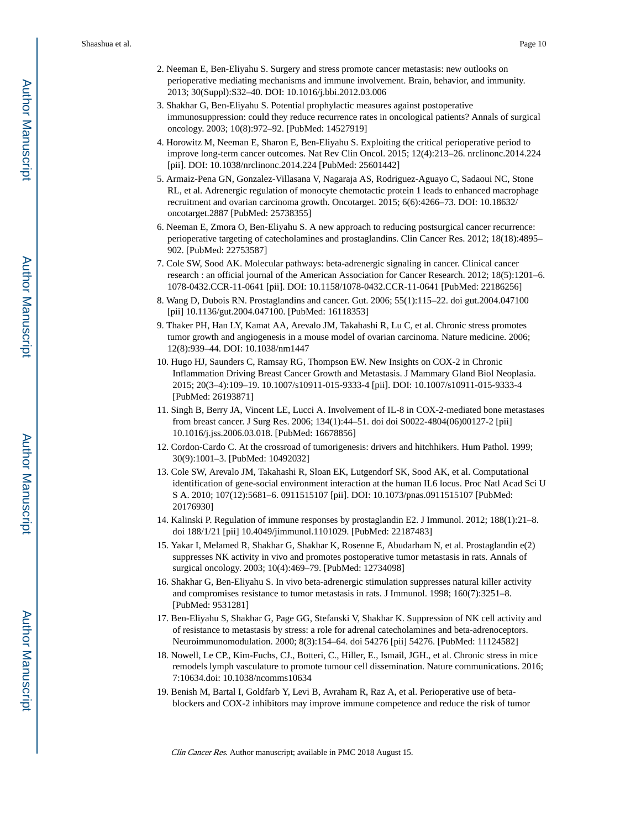- 2. Neeman E, Ben-Eliyahu S. Surgery and stress promote cancer metastasis: new outlooks on perioperative mediating mechanisms and immune involvement. Brain, behavior, and immunity. 2013; 30(Suppl):S32–40. DOI: 10.1016/j.bbi.2012.03.006
- 3. Shakhar G, Ben-Eliyahu S. Potential prophylactic measures against postoperative immunosuppression: could they reduce recurrence rates in oncological patients? Annals of surgical oncology. 2003; 10(8):972–92. [PubMed: 14527919]
- 4. Horowitz M, Neeman E, Sharon E, Ben-Eliyahu S. Exploiting the critical perioperative period to improve long-term cancer outcomes. Nat Rev Clin Oncol. 2015; 12(4):213–26. nrclinonc.2014.224 [pii]. DOI: 10.1038/nrclinonc.2014.224 [PubMed: 25601442]
- 5. Armaiz-Pena GN, Gonzalez-Villasana V, Nagaraja AS, Rodriguez-Aguayo C, Sadaoui NC, Stone RL, et al. Adrenergic regulation of monocyte chemotactic protein 1 leads to enhanced macrophage recruitment and ovarian carcinoma growth. Oncotarget. 2015; 6(6):4266–73. DOI: 10.18632/ oncotarget.2887 [PubMed: 25738355]
- 6. Neeman E, Zmora O, Ben-Eliyahu S. A new approach to reducing postsurgical cancer recurrence: perioperative targeting of catecholamines and prostaglandins. Clin Cancer Res. 2012; 18(18):4895– 902. [PubMed: 22753587]
- 7. Cole SW, Sood AK. Molecular pathways: beta-adrenergic signaling in cancer. Clinical cancer research : an official journal of the American Association for Cancer Research. 2012; 18(5):1201–6. 1078-0432.CCR-11-0641 [pii]. DOI: 10.1158/1078-0432.CCR-11-0641 [PubMed: 22186256]
- 8. Wang D, Dubois RN. Prostaglandins and cancer. Gut. 2006; 55(1):115–22. doi gut.2004.047100 [pii] 10.1136/gut.2004.047100. [PubMed: 16118353]
- 9. Thaker PH, Han LY, Kamat AA, Arevalo JM, Takahashi R, Lu C, et al. Chronic stress promotes tumor growth and angiogenesis in a mouse model of ovarian carcinoma. Nature medicine. 2006; 12(8):939–44. DOI: 10.1038/nm1447
- 10. Hugo HJ, Saunders C, Ramsay RG, Thompson EW. New Insights on COX-2 in Chronic Inflammation Driving Breast Cancer Growth and Metastasis. J Mammary Gland Biol Neoplasia. 2015; 20(3–4):109–19. 10.1007/s10911-015-9333-4 [pii]. DOI: 10.1007/s10911-015-9333-4 [PubMed: 26193871]
- 11. Singh B, Berry JA, Vincent LE, Lucci A. Involvement of IL-8 in COX-2-mediated bone metastases from breast cancer. J Surg Res. 2006; 134(1):44–51. doi doi S0022-4804(06)00127-2 [pii] 10.1016/j.jss.2006.03.018. [PubMed: 16678856]
- 12. Cordon-Cardo C. At the crossroad of tumorigenesis: drivers and hitchhikers. Hum Pathol. 1999; 30(9):1001–3. [PubMed: 10492032]
- 13. Cole SW, Arevalo JM, Takahashi R, Sloan EK, Lutgendorf SK, Sood AK, et al. Computational identification of gene-social environment interaction at the human IL6 locus. Proc Natl Acad Sci U S A. 2010; 107(12):5681–6. 0911515107 [pii]. DOI: 10.1073/pnas.0911515107 [PubMed: 20176930]
- 14. Kalinski P. Regulation of immune responses by prostaglandin E2. J Immunol. 2012; 188(1):21–8. doi 188/1/21 [pii] 10.4049/jimmunol.1101029. [PubMed: 22187483]
- 15. Yakar I, Melamed R, Shakhar G, Shakhar K, Rosenne E, Abudarham N, et al. Prostaglandin e(2) suppresses NK activity in vivo and promotes postoperative tumor metastasis in rats. Annals of surgical oncology. 2003; 10(4):469–79. [PubMed: 12734098]
- 16. Shakhar G, Ben-Eliyahu S. In vivo beta-adrenergic stimulation suppresses natural killer activity and compromises resistance to tumor metastasis in rats. J Immunol. 1998; 160(7):3251–8. [PubMed: 9531281]
- 17. Ben-Eliyahu S, Shakhar G, Page GG, Stefanski V, Shakhar K. Suppression of NK cell activity and of resistance to metastasis by stress: a role for adrenal catecholamines and beta-adrenoceptors. Neuroimmunomodulation. 2000; 8(3):154–64. doi 54276 [pii] 54276. [PubMed: 11124582]
- 18. Nowell, Le CP., Kim-Fuchs, CJ., Botteri, C., Hiller, E., Ismail, JGH., et al. Chronic stress in mice remodels lymph vasculature to promote tumour cell dissemination. Nature communications. 2016; 7:10634.doi: 10.1038/ncomms10634
- 19. Benish M, Bartal I, Goldfarb Y, Levi B, Avraham R, Raz A, et al. Perioperative use of betablockers and COX-2 inhibitors may improve immune competence and reduce the risk of tumor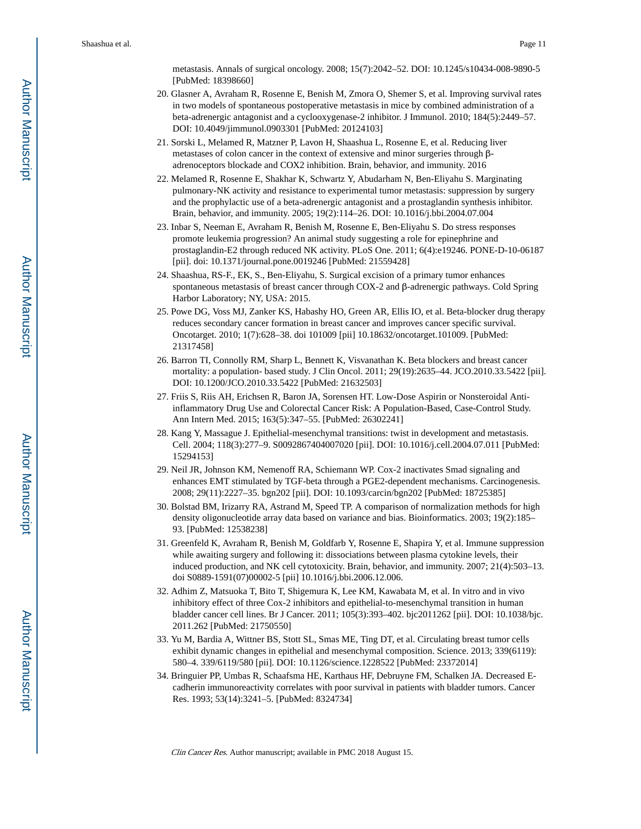metastasis. Annals of surgical oncology. 2008; 15(7):2042–52. DOI: 10.1245/s10434-008-9890-5 [PubMed: 18398660]

- 20. Glasner A, Avraham R, Rosenne E, Benish M, Zmora O, Shemer S, et al. Improving survival rates in two models of spontaneous postoperative metastasis in mice by combined administration of a beta-adrenergic antagonist and a cyclooxygenase-2 inhibitor. J Immunol. 2010; 184(5):2449–57. DOI: 10.4049/jimmunol.0903301 [PubMed: 20124103]
- 21. Sorski L, Melamed R, Matzner P, Lavon H, Shaashua L, Rosenne E, et al. Reducing liver metastases of colon cancer in the context of extensive and minor surgeries through βadrenoceptors blockade and COX2 inhibition. Brain, behavior, and immunity. 2016
- 22. Melamed R, Rosenne E, Shakhar K, Schwartz Y, Abudarham N, Ben-Eliyahu S. Marginating pulmonary-NK activity and resistance to experimental tumor metastasis: suppression by surgery and the prophylactic use of a beta-adrenergic antagonist and a prostaglandin synthesis inhibitor. Brain, behavior, and immunity. 2005; 19(2):114–26. DOI: 10.1016/j.bbi.2004.07.004
- 23. Inbar S, Neeman E, Avraham R, Benish M, Rosenne E, Ben-Eliyahu S. Do stress responses promote leukemia progression? An animal study suggesting a role for epinephrine and prostaglandin-E2 through reduced NK activity. PLoS One. 2011; 6(4):e19246. PONE-D-10-06187 [pii]. doi: 10.1371/journal.pone.0019246 [PubMed: 21559428]
- 24. Shaashua, RS-F., EK, S., Ben-Eliyahu, S. Surgical excision of a primary tumor enhances spontaneous metastasis of breast cancer through COX-2 and β-adrenergic pathways. Cold Spring Harbor Laboratory; NY, USA: 2015.
- 25. Powe DG, Voss MJ, Zanker KS, Habashy HO, Green AR, Ellis IO, et al. Beta-blocker drug therapy reduces secondary cancer formation in breast cancer and improves cancer specific survival. Oncotarget. 2010; 1(7):628–38. doi 101009 [pii] 10.18632/oncotarget.101009. [PubMed: 21317458]
- 26. Barron TI, Connolly RM, Sharp L, Bennett K, Visvanathan K. Beta blockers and breast cancer mortality: a population- based study. J Clin Oncol. 2011; 29(19):2635–44. JCO.2010.33.5422 [pii]. DOI: 10.1200/JCO.2010.33.5422 [PubMed: 21632503]
- 27. Friis S, Riis AH, Erichsen R, Baron JA, Sorensen HT. Low-Dose Aspirin or Nonsteroidal Antiinflammatory Drug Use and Colorectal Cancer Risk: A Population-Based, Case-Control Study. Ann Intern Med. 2015; 163(5):347–55. [PubMed: 26302241]
- 28. Kang Y, Massague J. Epithelial-mesenchymal transitions: twist in development and metastasis. Cell. 2004; 118(3):277–9. S0092867404007020 [pii]. DOI: 10.1016/j.cell.2004.07.011 [PubMed: 15294153]
- 29. Neil JR, Johnson KM, Nemenoff RA, Schiemann WP. Cox-2 inactivates Smad signaling and enhances EMT stimulated by TGF-beta through a PGE2-dependent mechanisms. Carcinogenesis. 2008; 29(11):2227–35. bgn202 [pii]. DOI: 10.1093/carcin/bgn202 [PubMed: 18725385]
- 30. Bolstad BM, Irizarry RA, Astrand M, Speed TP. A comparison of normalization methods for high density oligonucleotide array data based on variance and bias. Bioinformatics. 2003; 19(2):185– 93. [PubMed: 12538238]
- 31. Greenfeld K, Avraham R, Benish M, Goldfarb Y, Rosenne E, Shapira Y, et al. Immune suppression while awaiting surgery and following it: dissociations between plasma cytokine levels, their induced production, and NK cell cytotoxicity. Brain, behavior, and immunity. 2007; 21(4):503–13. doi S0889-1591(07)00002-5 [pii] 10.1016/j.bbi.2006.12.006.
- 32. Adhim Z, Matsuoka T, Bito T, Shigemura K, Lee KM, Kawabata M, et al. In vitro and in vivo inhibitory effect of three Cox-2 inhibitors and epithelial-to-mesenchymal transition in human bladder cancer cell lines. Br J Cancer. 2011; 105(3):393–402. bjc2011262 [pii]. DOI: 10.1038/bjc. 2011.262 [PubMed: 21750550]
- 33. Yu M, Bardia A, Wittner BS, Stott SL, Smas ME, Ting DT, et al. Circulating breast tumor cells exhibit dynamic changes in epithelial and mesenchymal composition. Science. 2013; 339(6119): 580–4. 339/6119/580 [pii]. DOI: 10.1126/science.1228522 [PubMed: 23372014]
- 34. Bringuier PP, Umbas R, Schaafsma HE, Karthaus HF, Debruyne FM, Schalken JA. Decreased Ecadherin immunoreactivity correlates with poor survival in patients with bladder tumors. Cancer Res. 1993; 53(14):3241–5. [PubMed: 8324734]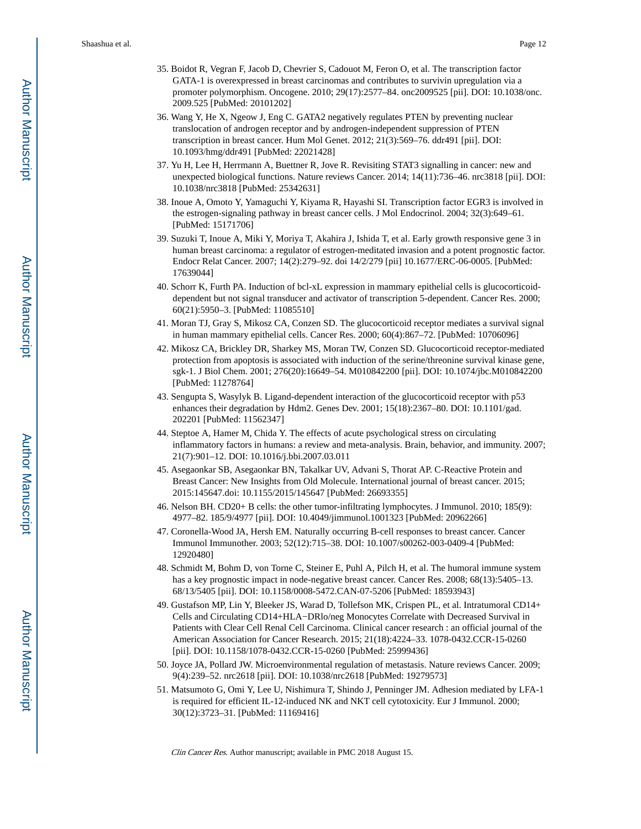- 35. Boidot R, Vegran F, Jacob D, Chevrier S, Cadouot M, Feron O, et al. The transcription factor GATA-1 is overexpressed in breast carcinomas and contributes to survivin upregulation via a promoter polymorphism. Oncogene. 2010; 29(17):2577–84. onc2009525 [pii]. DOI: 10.1038/onc. 2009.525 [PubMed: 20101202]
- 36. Wang Y, He X, Ngeow J, Eng C. GATA2 negatively regulates PTEN by preventing nuclear translocation of androgen receptor and by androgen-independent suppression of PTEN transcription in breast cancer. Hum Mol Genet. 2012; 21(3):569–76. ddr491 [pii]. DOI: 10.1093/hmg/ddr491 [PubMed: 22021428]
- 37. Yu H, Lee H, Herrmann A, Buettner R, Jove R. Revisiting STAT3 signalling in cancer: new and unexpected biological functions. Nature reviews Cancer. 2014; 14(11):736–46. nrc3818 [pii]. DOI: 10.1038/nrc3818 [PubMed: 25342631]
- 38. Inoue A, Omoto Y, Yamaguchi Y, Kiyama R, Hayashi SI. Transcription factor EGR3 is involved in the estrogen-signaling pathway in breast cancer cells. J Mol Endocrinol. 2004; 32(3):649–61. [PubMed: 15171706]
- 39. Suzuki T, Inoue A, Miki Y, Moriya T, Akahira J, Ishida T, et al. Early growth responsive gene 3 in human breast carcinoma: a regulator of estrogen-meditated invasion and a potent prognostic factor. Endocr Relat Cancer. 2007; 14(2):279–92. doi 14/2/279 [pii] 10.1677/ERC-06-0005. [PubMed: 17639044]
- 40. Schorr K, Furth PA. Induction of bcl-xL expression in mammary epithelial cells is glucocorticoiddependent but not signal transducer and activator of transcription 5-dependent. Cancer Res. 2000; 60(21):5950–3. [PubMed: 11085510]
- 41. Moran TJ, Gray S, Mikosz CA, Conzen SD. The glucocorticoid receptor mediates a survival signal in human mammary epithelial cells. Cancer Res. 2000; 60(4):867–72. [PubMed: 10706096]
- 42. Mikosz CA, Brickley DR, Sharkey MS, Moran TW, Conzen SD. Glucocorticoid receptor-mediated protection from apoptosis is associated with induction of the serine/threonine survival kinase gene, sgk-1. J Biol Chem. 2001; 276(20):16649–54. M010842200 [pii]. DOI: 10.1074/jbc.M010842200 [PubMed: 11278764]
- 43. Sengupta S, Wasylyk B. Ligand-dependent interaction of the glucocorticoid receptor with p53 enhances their degradation by Hdm2. Genes Dev. 2001; 15(18):2367–80. DOI: 10.1101/gad. 202201 [PubMed: 11562347]
- 44. Steptoe A, Hamer M, Chida Y. The effects of acute psychological stress on circulating inflammatory factors in humans: a review and meta-analysis. Brain, behavior, and immunity. 2007; 21(7):901–12. DOI: 10.1016/j.bbi.2007.03.011
- 45. Asegaonkar SB, Asegaonkar BN, Takalkar UV, Advani S, Thorat AP. C-Reactive Protein and Breast Cancer: New Insights from Old Molecule. International journal of breast cancer. 2015; 2015:145647.doi: 10.1155/2015/145647 [PubMed: 26693355]
- 46. Nelson BH. CD20+ B cells: the other tumor-infiltrating lymphocytes. J Immunol. 2010; 185(9): 4977–82. 185/9/4977 [pii]. DOI: 10.4049/jimmunol.1001323 [PubMed: 20962266]
- 47. Coronella-Wood JA, Hersh EM. Naturally occurring B-cell responses to breast cancer. Cancer Immunol Immunother. 2003; 52(12):715–38. DOI: 10.1007/s00262-003-0409-4 [PubMed: 12920480]
- 48. Schmidt M, Bohm D, von Torne C, Steiner E, Puhl A, Pilch H, et al. The humoral immune system has a key prognostic impact in node-negative breast cancer. Cancer Res. 2008; 68(13):5405–13. 68/13/5405 [pii]. DOI: 10.1158/0008-5472.CAN-07-5206 [PubMed: 18593943]
- 49. Gustafson MP, Lin Y, Bleeker JS, Warad D, Tollefson MK, Crispen PL, et al. Intratumoral CD14+ Cells and Circulating CD14+HLA−DRlo/neg Monocytes Correlate with Decreased Survival in Patients with Clear Cell Renal Cell Carcinoma. Clinical cancer research : an official journal of the American Association for Cancer Research. 2015; 21(18):4224–33. 1078-0432.CCR-15-0260 [pii]. DOI: 10.1158/1078-0432.CCR-15-0260 [PubMed: 25999436]
- 50. Joyce JA, Pollard JW. Microenvironmental regulation of metastasis. Nature reviews Cancer. 2009; 9(4):239–52. nrc2618 [pii]. DOI: 10.1038/nrc2618 [PubMed: 19279573]
- 51. Matsumoto G, Omi Y, Lee U, Nishimura T, Shindo J, Penninger JM. Adhesion mediated by LFA-1 is required for efficient IL-12-induced NK and NKT cell cytotoxicity. Eur J Immunol. 2000; 30(12):3723–31. [PubMed: 11169416]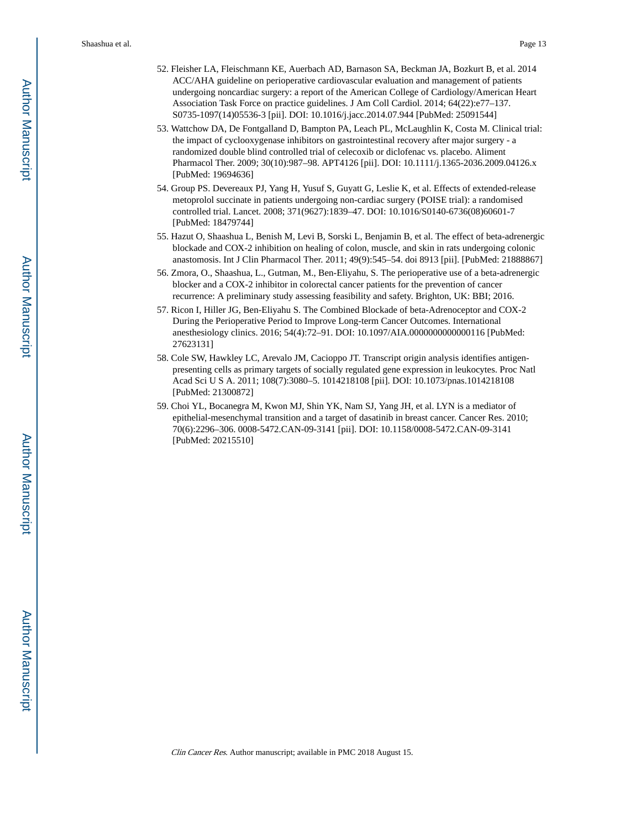- 52. Fleisher LA, Fleischmann KE, Auerbach AD, Barnason SA, Beckman JA, Bozkurt B, et al. 2014 ACC/AHA guideline on perioperative cardiovascular evaluation and management of patients undergoing noncardiac surgery: a report of the American College of Cardiology/American Heart Association Task Force on practice guidelines. J Am Coll Cardiol. 2014; 64(22):e77–137. S0735-1097(14)05536-3 [pii]. DOI: 10.1016/j.jacc.2014.07.944 [PubMed: 25091544]
- 53. Wattchow DA, De Fontgalland D, Bampton PA, Leach PL, McLaughlin K, Costa M. Clinical trial: the impact of cyclooxygenase inhibitors on gastrointestinal recovery after major surgery - a randomized double blind controlled trial of celecoxib or diclofenac vs. placebo. Aliment Pharmacol Ther. 2009; 30(10):987–98. APT4126 [pii]. DOI: 10.1111/j.1365-2036.2009.04126.x [PubMed: 19694636]
- 54. Group PS. Devereaux PJ, Yang H, Yusuf S, Guyatt G, Leslie K, et al. Effects of extended-release metoprolol succinate in patients undergoing non-cardiac surgery (POISE trial): a randomised controlled trial. Lancet. 2008; 371(9627):1839–47. DOI: 10.1016/S0140-6736(08)60601-7 [PubMed: 18479744]
- 55. Hazut O, Shaashua L, Benish M, Levi B, Sorski L, Benjamin B, et al. The effect of beta-adrenergic blockade and COX-2 inhibition on healing of colon, muscle, and skin in rats undergoing colonic anastomosis. Int J Clin Pharmacol Ther. 2011; 49(9):545–54. doi 8913 [pii]. [PubMed: 21888867]
- 56. Zmora, O., Shaashua, L., Gutman, M., Ben-Eliyahu, S. The perioperative use of a beta-adrenergic blocker and a COX-2 inhibitor in colorectal cancer patients for the prevention of cancer recurrence: A preliminary study assessing feasibility and safety. Brighton, UK: BBI; 2016.
- 57. Ricon I, Hiller JG, Ben-Eliyahu S. The Combined Blockade of beta-Adrenoceptor and COX-2 During the Perioperative Period to Improve Long-term Cancer Outcomes. International anesthesiology clinics. 2016; 54(4):72–91. DOI: 10.1097/AIA.0000000000000116 [PubMed: 27623131]
- 58. Cole SW, Hawkley LC, Arevalo JM, Cacioppo JT. Transcript origin analysis identifies antigenpresenting cells as primary targets of socially regulated gene expression in leukocytes. Proc Natl Acad Sci U S A. 2011; 108(7):3080–5. 1014218108 [pii]. DOI: 10.1073/pnas.1014218108 [PubMed: 21300872]
- 59. Choi YL, Bocanegra M, Kwon MJ, Shin YK, Nam SJ, Yang JH, et al. LYN is a mediator of epithelial-mesenchymal transition and a target of dasatinib in breast cancer. Cancer Res. 2010; 70(6):2296–306. 0008-5472.CAN-09-3141 [pii]. DOI: 10.1158/0008-5472.CAN-09-3141 [PubMed: 20215510]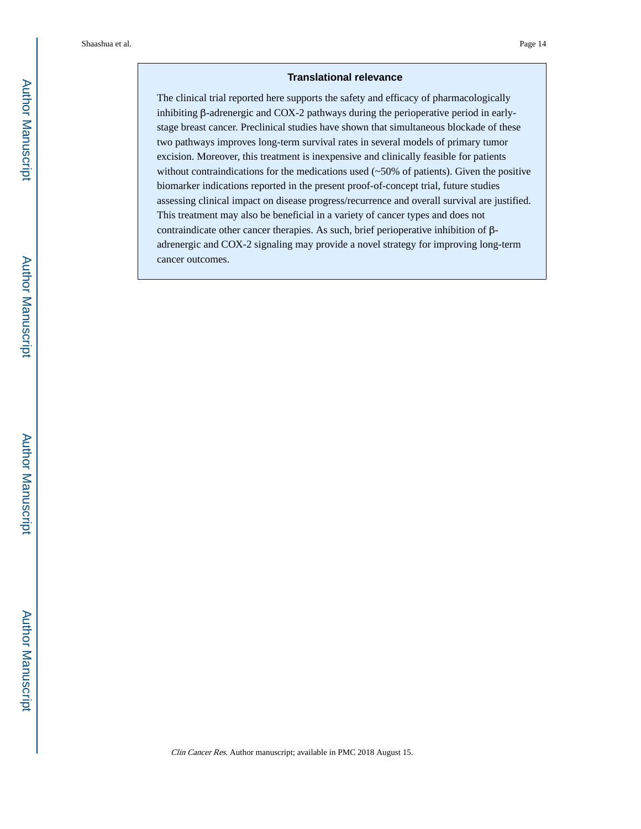#### **Translational relevance**

The clinical trial reported here supports the safety and efficacy of pharmacologically inhibiting β-adrenergic and COX-2 pathways during the perioperative period in earlystage breast cancer. Preclinical studies have shown that simultaneous blockade of these two pathways improves long-term survival rates in several models of primary tumor excision. Moreover, this treatment is inexpensive and clinically feasible for patients without contraindications for the medications used (~50% of patients). Given the positive biomarker indications reported in the present proof-of-concept trial, future studies assessing clinical impact on disease progress/recurrence and overall survival are justified. This treatment may also be beneficial in a variety of cancer types and does not contraindicate other cancer therapies. As such, brief perioperative inhibition of βadrenergic and COX-2 signaling may provide a novel strategy for improving long-term cancer outcomes.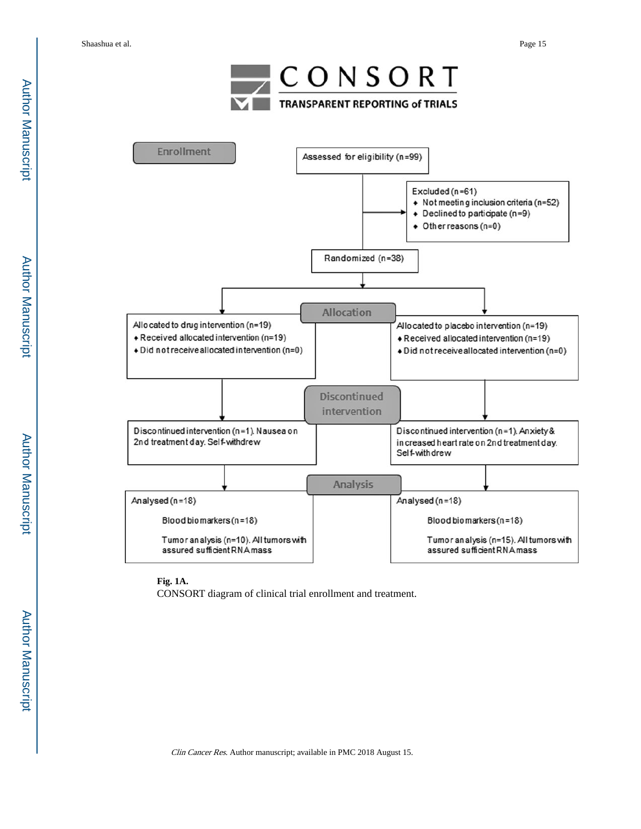



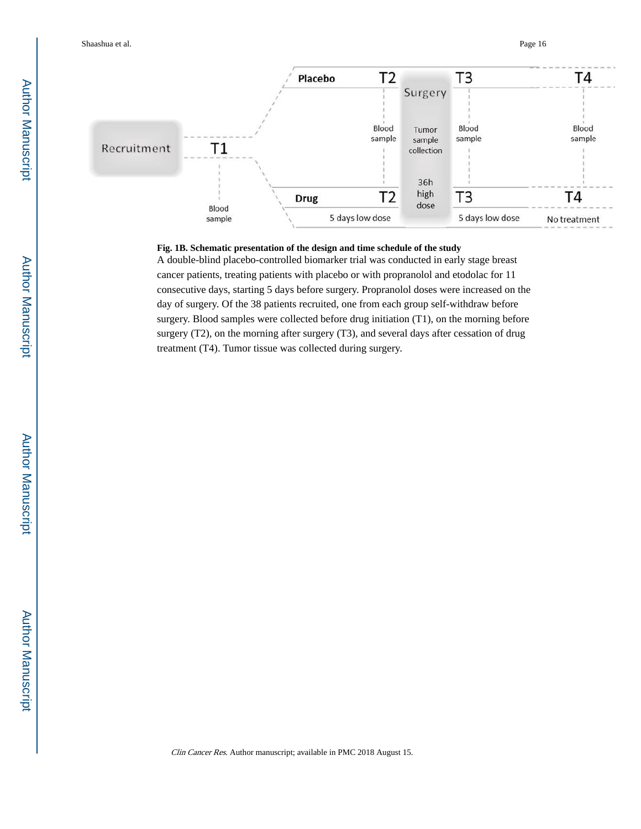

#### **Fig. 1B. Schematic presentation of the design and time schedule of the study**

A double-blind placebo-controlled biomarker trial was conducted in early stage breast cancer patients, treating patients with placebo or with propranolol and etodolac for 11 consecutive days, starting 5 days before surgery. Propranolol doses were increased on the day of surgery. Of the 38 patients recruited, one from each group self-withdraw before surgery. Blood samples were collected before drug initiation (T1), on the morning before surgery (T2), on the morning after surgery (T3), and several days after cessation of drug treatment (T4). Tumor tissue was collected during surgery.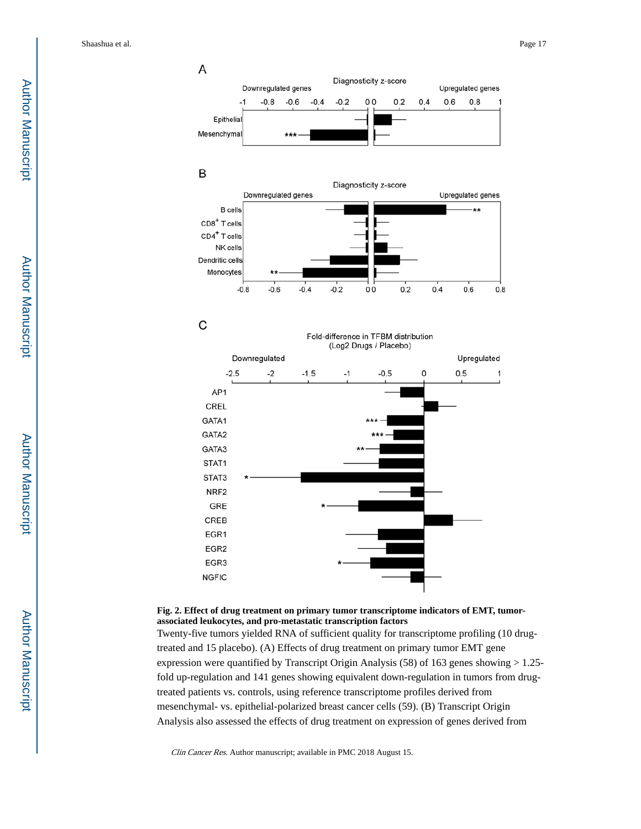



 $\mathsf{C}$ 



#### **Fig. 2. Effect of drug treatment on primary tumor transcriptome indicators of EMT, tumorassociated leukocytes, and pro-metastatic transcription factors**

Twenty-five tumors yielded RNA of sufficient quality for transcriptome profiling (10 drugtreated and 15 placebo). (A) Effects of drug treatment on primary tumor EMT gene expression were quantified by Transcript Origin Analysis (58) of 163 genes showing > 1.25 fold up-regulation and 141 genes showing equivalent down-regulation in tumors from drugtreated patients vs. controls, using reference transcriptome profiles derived from mesenchymal- vs. epithelial-polarized breast cancer cells (59). (B) Transcript Origin Analysis also assessed the effects of drug treatment on expression of genes derived from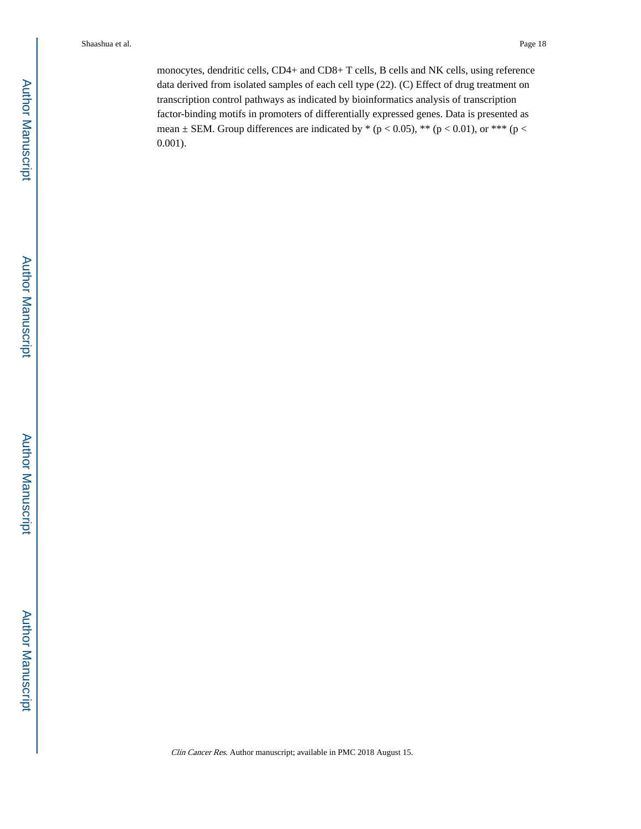monocytes, dendritic cells, CD4+ and CD8+ T cells, B cells and NK cells, using reference data derived from isolated samples of each cell type (22). (C) Effect of drug treatment on transcription control pathways as indicated by bioinformatics analysis of transcription factor-binding motifs in promoters of differentially expressed genes. Data is presented as mean  $\pm$  SEM. Group differences are indicated by \* (p < 0.05), \*\* (p < 0.01), or \*\*\* (p < 0.001).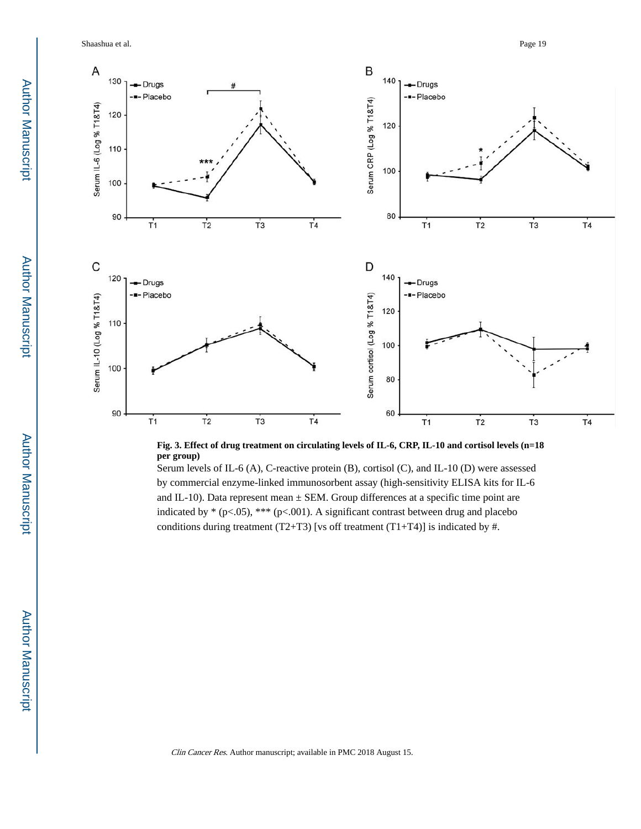Shaashua et al. Page 19



**Fig. 3. Effect of drug treatment on circulating levels of IL-6, CRP, IL-10 and cortisol levels (n=18 per group)**

Serum levels of IL-6 (A), C-reactive protein (B), cortisol (C), and IL-10 (D) were assessed by commercial enzyme-linked immunosorbent assay (high-sensitivity ELISA kits for IL-6 and IL-10). Data represent mean  $\pm$  SEM. Group differences at a specific time point are indicated by \* (p<.05), \*\*\* (p<.001). A significant contrast between drug and placebo conditions during treatment (T2+T3) [vs off treatment (T1+T4)] is indicated by #.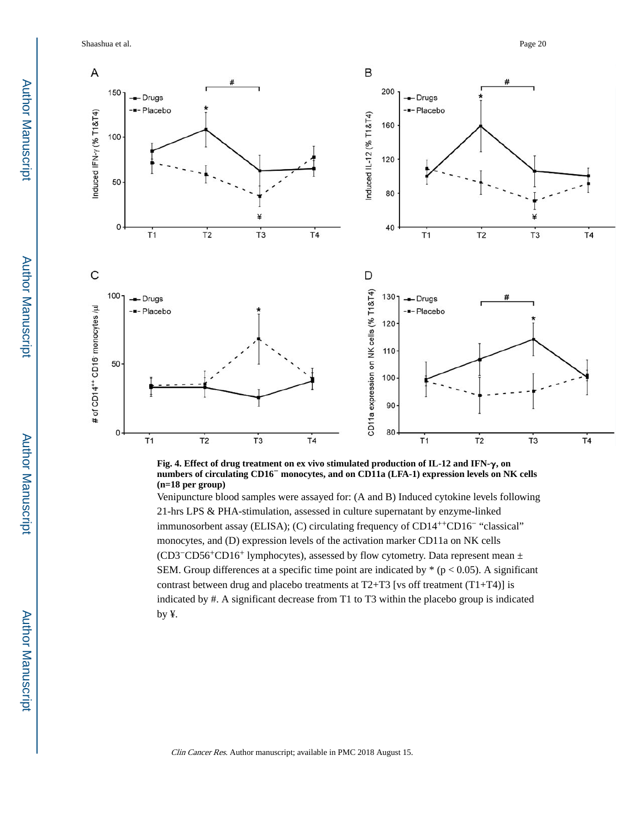Shaashua et al. Page 20



**Fig. 4. Effect of drug treatment on ex vivo stimulated production of IL-12 and IFN-**γ**, on numbers of circulating CD16− monocytes, and on CD11a (LFA-1) expression levels on NK cells (n=18 per group)**

Venipuncture blood samples were assayed for: (A and B) Induced cytokine levels following 21-hrs LPS & PHA-stimulation, assessed in culture supernatant by enzyme-linked immunosorbent assay (ELISA); (C) circulating frequency of CD14++CD16− "classical" monocytes, and (D) expression levels of the activation marker CD11a on NK cells (CD3−CD56+CD16+ lymphocytes), assessed by flow cytometry. Data represent mean ± SEM. Group differences at a specific time point are indicated by  $*(p < 0.05)$ . A significant contrast between drug and placebo treatments at  $T2+T3$  [vs off treatment  $(T1+T4)$ ] is indicated by #. A significant decrease from T1 to T3 within the placebo group is indicated by ¥.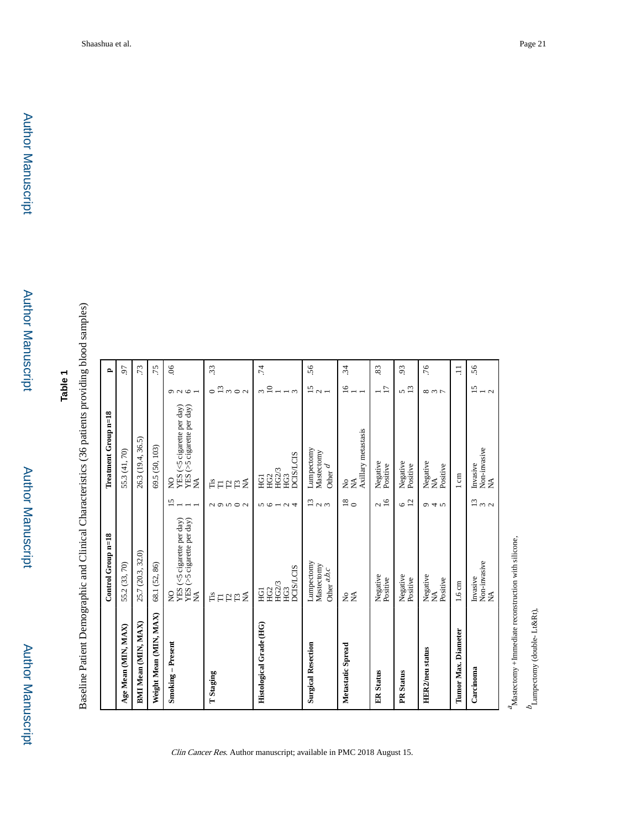Baseline Patient Demographic and Clinical Characteristics (36 patients providing blood samples) Baseline Patient Demographic and Clinical Characteristics (36 patients providing blood samples)

|                                                                    | Control Group n=18                                                                                             |                           | Treatment Group n=18                                                                                         |                                   | $\mathbf{r}$ |
|--------------------------------------------------------------------|----------------------------------------------------------------------------------------------------------------|---------------------------|--------------------------------------------------------------------------------------------------------------|-----------------------------------|--------------|
| Age Mean (MIN, MAX)                                                | 55.2 (33, 70)                                                                                                  |                           | 55.3 (41, 70)                                                                                                |                                   | 5            |
| BMI Mean (MIN, MAX)                                                | 25.7 (20.3, 32.0)                                                                                              |                           | 26.3 (19.4, 36.5)                                                                                            |                                   | .73          |
| Weight Mean (MIN, MAX)                                             | 68.1 (52, 86)                                                                                                  |                           | 69.5 (50, 103)                                                                                               |                                   | .75          |
| Smoking - Present                                                  | YES ( $\le$ 5 cigarette per day)<br>YES (>5 cigarette per day)<br>$\frac{1}{2}$<br>$\boldsymbol{\hat{\Sigma}}$ | $\overline{5}$            | NO<br>YES (<5 cigarette per day)<br>YES (<5 cigarette per day)<br>YES (>5 cigarette per day)<br>$\mathbb{X}$ | $\Omega \cap \Omega$              | 06           |
| <b>T</b> Staging                                                   | P2E<br>ΗĨ                                                                                                      | 00500                     | $P P \n  A$<br>ËΕ                                                                                            | $Om$ $Om$                         | 33           |
| <b>Histological Grade (HG)</b>                                     | <b>DCIS/LCIS</b><br>HG2/3<br>HG3<br>HG <sub>2</sub><br>ĒЯ                                                      | n 0<br>$-04$              | <b>DCIS/LCIS</b><br>HG2/3<br>HG <sub>3</sub><br>HG <sub>2</sub><br>ĒЯ                                        | $\frac{1}{2}$<br>$ \infty$        | .74          |
| <b>Surgical Resection</b>                                          | Lumpectomy<br>Mastectomy<br>Other $a,b,c$                                                                      | $\frac{m}{2}$             | Lumpectomy<br>Mastectomy<br>Other $\boldsymbol{d}$                                                           | $\frac{15}{2}$                    | 56           |
| Metastatic Spread                                                  | 22                                                                                                             | $\frac{8}{18}$            | Axillary metastasis<br>$2\xi$                                                                                | $\overline{16}$                   | 34           |
| <b>ER Status</b>                                                   | Negative<br>Positive                                                                                           | $\frac{2}{16}$            | Negative<br>Positive                                                                                         | $\overline{17}$                   | 83           |
| <b>PR Status</b>                                                   | Negative<br>Positive                                                                                           | $6\frac{2}{2}$            | Negative<br>Positive                                                                                         | $\frac{5}{13}$                    | 93           |
| <b>HER2/neu status</b>                                             | Negative<br>NA<br>Positive                                                                                     | 940                       | Negative<br>NA<br>Positive                                                                                   | $\infty$ m $\Gamma$               | .76          |
| Tunor Max. Diameter                                                | $1.6 \mathrm{cm}$                                                                                              |                           | $1 \; \mathrm{cm}$                                                                                           |                                   | Ξ            |
| Carcinoma                                                          | Non-invasive<br>NA<br>Invasive                                                                                 | $\frac{m}{2}$ $\approx$ 0 | Non-invasive<br>NA<br>Invasive                                                                               | $\overline{15}$<br>$\overline{a}$ | 56           |
| $\alpha_{\rm Mastecromy+Immediate\ reconstruction}$ with silicone, |                                                                                                                |                           |                                                                                                              |                                   |              |

 $b_{\text{Lumpetomy (double-Lt\&Rt)}, \label{eq:loss}$ Lumpectomy (double- Lt&Rt),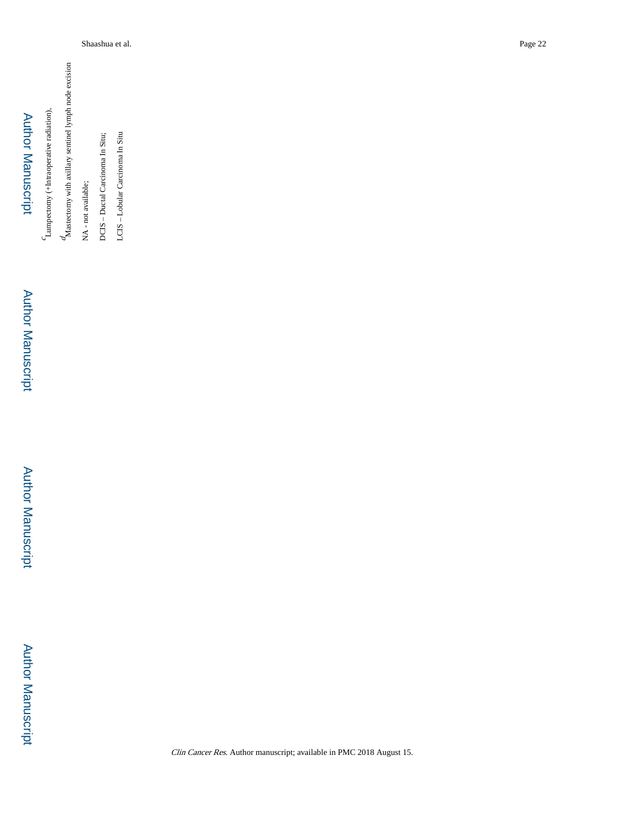| Author Manuscript | Lumpectomy (+Intraoperative radiation), | Mastectomy with axillary sentinel lymph node excision | NA - not available; | DCIS - Ductal Carcinoma In Situ; | LCIS - Lobular Carcinoma In Situ |  |
|-------------------|-----------------------------------------|-------------------------------------------------------|---------------------|----------------------------------|----------------------------------|--|
|-------------------|-----------------------------------------|-------------------------------------------------------|---------------------|----------------------------------|----------------------------------|--|

Author Manuscript

Author Manuscript

Author Manuscript

**Author Manuscript** 

Author Manuscript

Author Manuscript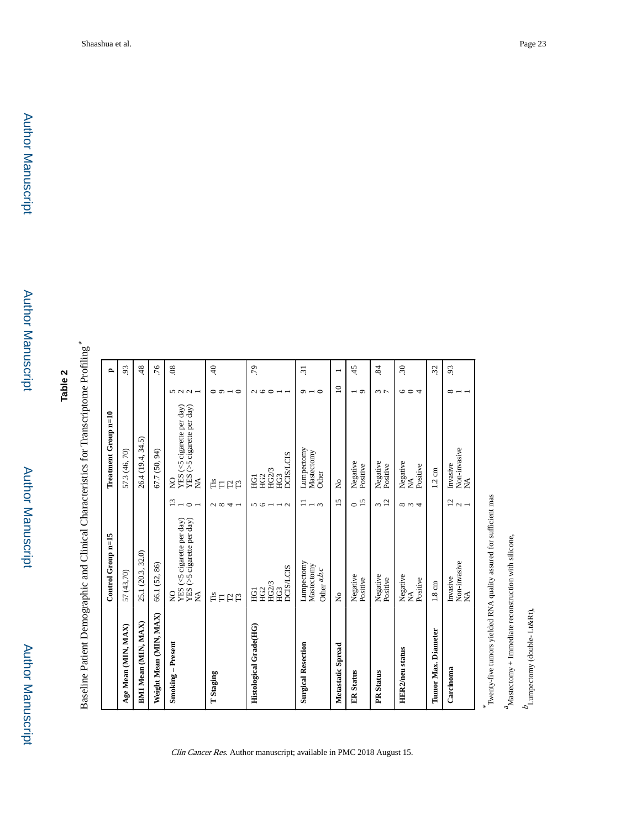Author Manuscript

Author Manuscript

Baseline Patient Demographic and Clinical Characteristics for Transcriptome Profiling \*

| YES ( $\leq$ cigarette per day)<br>YES (>5 cigarette per day)<br>25.1 (20.3, 32.0)<br>Lumpectomy<br>66.1 (52, 86)<br>Mastectomy<br><b>DCIS/LCIS</b><br>Other $a,b,c$<br>57 (43,70)<br>HG2/3<br>HG <sub>2</sub><br>HG3<br>ĒЯ<br>$\frac{0}{2}$<br>$\tilde{\Sigma}$<br>EENE<br>Weight Mean (MIN, MAX)<br>BMI Mean (MIN, MAX)<br>Age Mean (MIN, MAX)<br>Histological Grade(HG)<br>Smoking - Present<br><b>Surgical Resection</b><br><b>T</b> Staging |                              | 26.4 (19.4, 34.5)<br>57.3 (46, 70)                                                   |                                      |                          |
|--------------------------------------------------------------------------------------------------------------------------------------------------------------------------------------------------------------------------------------------------------------------------------------------------------------------------------------------------------------------------------------------------------------------------------------------------|------------------------------|--------------------------------------------------------------------------------------|--------------------------------------|--------------------------|
|                                                                                                                                                                                                                                                                                                                                                                                                                                                  |                              |                                                                                      |                                      | 93                       |
|                                                                                                                                                                                                                                                                                                                                                                                                                                                  |                              |                                                                                      |                                      | 48                       |
|                                                                                                                                                                                                                                                                                                                                                                                                                                                  |                              | 67.7 (50, 94)                                                                        |                                      | .76                      |
|                                                                                                                                                                                                                                                                                                                                                                                                                                                  | 13<br>$\circ$                | NO<br>YES ( $\leq$ cigarette per day)<br>YES (>5 cigarette per day)<br>$\tilde{\ge}$ | 5221                                 | $\overline{0}$           |
|                                                                                                                                                                                                                                                                                                                                                                                                                                                  | $\sim$<br>4                  | ĚΕ<br>P2                                                                             | ం<br>$\circ$                         | $\overline{4}$           |
|                                                                                                                                                                                                                                                                                                                                                                                                                                                  | 5<br>6<br>$\sim$             | <b>DCIS/LCIS</b><br>HG2/3<br>HG <sub>2</sub><br>HG <sub>3</sub><br>ĒЯ                | $\alpha$ $\circ$                     | .79                      |
|                                                                                                                                                                                                                                                                                                                                                                                                                                                  | $-5$                         | Lumpectomy<br>Mastectomy<br>Other                                                    | $\overline{\phantom{0}}$<br>$\sigma$ | $\overline{31}$          |
| $\overline{\mathsf{x}}$<br>Metastatic Spread                                                                                                                                                                                                                                                                                                                                                                                                     | $\overline{15}$              | $\tilde{\mathbf{z}}$                                                                 | $\supseteq$                          | $\overline{\phantom{0}}$ |
| Negative<br>Positive<br><b>ER Status</b>                                                                                                                                                                                                                                                                                                                                                                                                         | $\overline{15}$<br>$\circ$   | Negative<br>Positive                                                                 | $\overline{\phantom{a}}$             | 45                       |
| Negative<br>Positive<br><b>PR</b> Status                                                                                                                                                                                                                                                                                                                                                                                                         | $\frac{3}{2}$                | Negative<br>Positive                                                                 | $\frac{1}{2}$                        | 84                       |
| Negative<br>NA<br>Positive<br><b>HER2/neu status</b>                                                                                                                                                                                                                                                                                                                                                                                             | $\infty$ m $\Delta$          | Negative<br>NA<br>Positive                                                           | $\circ$ $\circ$ $\circ$              | $\overline{30}$          |
| 1.8 <sub>cm</sub><br>Tumor Max. Diameter                                                                                                                                                                                                                                                                                                                                                                                                         |                              | $1.2 \text{ cm}$                                                                     |                                      | 32                       |
| Non-invasive<br>NA<br>Invasive<br>Carcinoma                                                                                                                                                                                                                                                                                                                                                                                                      | $\frac{12}{10}$ $\alpha$ $-$ | Non-invasive<br>NA<br>Invasive                                                       | $\infty$                             | 93                       |

Clin Cancer Res. Author manuscript; available in PMC 2018 August 15.

Twenty-five tumors yielded RNA quality assured for sufficient mas Twenty-five tumors yielded RNA quality assured for sufficient mas  ${}^2\!M\!$  as<br>tectomy + Immediate reconstruction with silicone, Mastectomy + Immediate reconstruction with silicone,

 $b_{\mbox{Lumpetomy}}$  (double- Lt<br>&Rt), Lumpectomy (double- Lt&Rt),